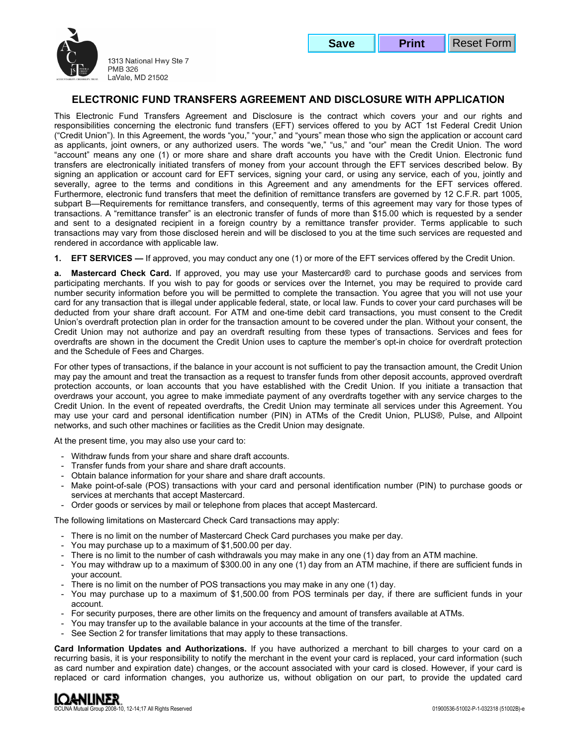



# **ELECTRONIC FUND TRANSFERS AGREEMENT AND DISCLOSURE WITH APPLICATION**

This Electronic Fund Transfers Agreement and Disclosure is the contract which covers your and our rights and responsibilities concerning the electronic fund transfers (EFT) services offered to you by ACT 1st Federal Credit Union ("Credit Union"). In this Agreement, the words "you," "your," and "yours" mean those who sign the application or account card as applicants, joint owners, or any authorized users. The words "we," "us," and "our" mean the Credit Union. The word "account" means any one (1) or more share and share draft accounts you have with the Credit Union. Electronic fund transfers are electronically initiated transfers of money from your account through the EFT services described below. By signing an application or account card for EFT services, signing your card, or using any service, each of you, jointly and severally, agree to the terms and conditions in this Agreement and any amendments for the EFT services offered. Furthermore, electronic fund transfers that meet the definition of remittance transfers are governed by 12 C.F.R. part 1005, subpart B—Requirements for remittance transfers, and consequently, terms of this agreement may vary for those types of transactions. A "remittance transfer" is an electronic transfer of funds of more than \$15.00 which is requested by a sender and sent to a designated recipient in a foreign country by a remittance transfer provider. Terms applicable to such transactions may vary from those disclosed herein and will be disclosed to you at the time such services are requested and rendered in accordance with applicable law.

**1. EFT SERVICES —** If approved, you may conduct any one (1) or more of the EFT services offered by the Credit Union.

**a. Mastercard Check Card.** If approved, you may use your Mastercard® card to purchase goods and services from participating merchants. If you wish to pay for goods or services over the Internet, you may be required to provide card number security information before you will be permitted to complete the transaction. You agree that you will not use your card for any transaction that is illegal under applicable federal, state, or local law. Funds to cover your card purchases will be deducted from your share draft account. For ATM and one-time debit card transactions, you must consent to the Credit Union's overdraft protection plan in order for the transaction amount to be covered under the plan. Without your consent, the Credit Union may not authorize and pay an overdraft resulting from these types of transactions. Services and fees for overdrafts are shown in the document the Credit Union uses to capture the member's opt-in choice for overdraft protection and the Schedule of Fees and Charges.

For other types of transactions, if the balance in your account is not sufficient to pay the transaction amount, the Credit Union may pay the amount and treat the transaction as a request to transfer funds from other deposit accounts, approved overdraft protection accounts, or loan accounts that you have established with the Credit Union. If you initiate a transaction that overdraws your account, you agree to make immediate payment of any overdrafts together with any service charges to the Credit Union. In the event of repeated overdrafts, the Credit Union may terminate all services under this Agreement. You may use your card and personal identification number (PIN) in ATMs of the Credit Union, PLUS®, Pulse, and Allpoint networks, and such other machines or facilities as the Credit Union may designate.

At the present time, you may also use your card to:

- Withdraw funds from your share and share draft accounts.
- Transfer funds from your share and share draft accounts.
- Obtain balance information for your share and share draft accounts.
- Make point-of-sale (POS) transactions with your card and personal identification number (PIN) to purchase goods or services at merchants that accept Mastercard.
- Order goods or services by mail or telephone from places that accept Mastercard.

The following limitations on Mastercard Check Card transactions may apply:

- There is no limit on the number of Mastercard Check Card purchases you make per day.
- You may purchase up to a maximum of \$1,500.00 per day.
- There is no limit to the number of cash withdrawals you may make in any one (1) day from an ATM machine.
- You may withdraw up to a maximum of \$300.00 in any one (1) day from an ATM machine, if there are sufficient funds in your account.
- There is no limit on the number of POS transactions you may make in any one (1) day.
- You may purchase up to a maximum of \$1,500.00 from POS terminals per day, if there are sufficient funds in your account.
- For security purposes, there are other limits on the frequency and amount of transfers available at ATMs.
- You may transfer up to the available balance in your accounts at the time of the transfer.
- See Section 2 for transfer limitations that may apply to these transactions.

**Card Information Updates and Authorizations.** If you have authorized a merchant to bill charges to your card on a recurring basis, it is your responsibility to notify the merchant in the event your card is replaced, your card information (such as card number and expiration date) changes, or the account associated with your card is closed. However, if your card is replaced or card information changes, you authorize us, without obligation on our part, to provide the updated card

**LOANLINER** Group 2008-10, 12-14;17 All Rights Reserved 61002B)-e control and the served of the served of the served of the served of the served of the served of the served of the served of the served of the served of the served of th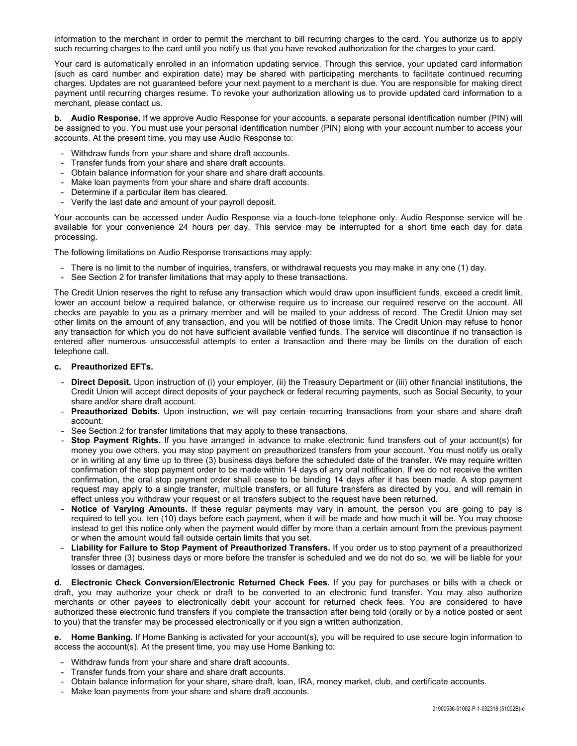information to the merchant in order to permit the merchant to bill recurring charges to the card. You authorize us to apply such recurring charges to the card until you notify us that you have revoked authorization for the charges to your card.

Your card is automatically enrolled in an information updating service. Through this service, your updated card information (such as card number and expiration date) may be shared with participating merchants to facilitate continued recurring charges. Updates are not guaranteed before your next payment to a merchant is due. You are responsible for making direct payment until recurring charges resume. To revoke your authorization allowing us to provide updated card information to a merchant, please contact us.

**b. Audio Response.** If we approve Audio Response for your accounts, a separate personal identification number (PIN) will be assigned to you. You must use your personal identification number (PIN) along with your account number to access your accounts. At the present time, you may use Audio Response to:

- Withdraw funds from your share and share draft accounts.
- Transfer funds from your share and share draft accounts.
- Obtain balance information for your share and share draft accounts.
- Make loan payments from your share and share draft accounts.
- Determine if a particular item has cleared.
- Verify the last date and amount of your payroll deposit.

Your accounts can be accessed under Audio Response via a touch-tone telephone only. Audio Response service will be available for your convenience 24 hours per day. This service may be interrupted for a short time each day for data processing.

The following limitations on Audio Response transactions may apply:

- There is no limit to the number of inquiries, transfers, or withdrawal requests you may make in any one (1) day.
- See Section 2 for transfer limitations that may apply to these transactions.

The Credit Union reserves the right to refuse any transaction which would draw upon insufficient funds, exceed a credit limit, lower an account below a required balance, or otherwise require us to increase our required reserve on the account. All checks are payable to you as a primary member and will be mailed to your address of record. The Credit Union may set other limits on the amount of any transaction, and you will be notified of those limits. The Credit Union may refuse to honor any transaction for which you do not have sufficient available verified funds. The service will discontinue if no transaction is entered after numerous unsuccessful attempts to enter a transaction and there may be limits on the duration of each telephone call.

#### **c. Preauthorized EFTs.**

- **Direct Deposit.** Upon instruction of (i) your employer, (ii) the Treasury Department or (iii) other financial institutions, the Credit Union will accept direct deposits of your paycheck or federal recurring payments, such as Social Security, to your share and/or share draft account.
- **Preauthorized Debits.** Upon instruction, we will pay certain recurring transactions from your share and share draft account.
- See Section 2 for transfer limitations that may apply to these transactions.
- **Stop Payment Rights.** If you have arranged in advance to make electronic fund transfers out of your account(s) for money you owe others, you may stop payment on preauthorized transfers from your account. You must notify us orally or in writing at any time up to three (3) business days before the scheduled date of the transfer. We may require written confirmation of the stop payment order to be made within 14 days of any oral notification. If we do not receive the written confirmation, the oral stop payment order shall cease to be binding 14 days after it has been made. A stop payment request may apply to a single transfer, multiple transfers, or all future transfers as directed by you, and will remain in effect unless you withdraw your request or all transfers subject to the request have been returned.
- Notice of Varying Amounts. If these regular payments may vary in amount, the person you are going to pay is required to tell you, ten (10) days before each payment, when it will be made and how much it will be. You may choose instead to get this notice only when the payment would differ by more than a certain amount from the previous payment or when the amount would fall outside certain limits that you set.
- **Liability for Failure to Stop Payment of Preauthorized Transfers.** If you order us to stop payment of a preauthorized transfer three (3) business days or more before the transfer is scheduled and we do not do so, we will be liable for your losses or damages.

**d. Electronic Check Conversion/Electronic Returned Check Fees.** If you pay for purchases or bills with a check or draft, you may authorize your check or draft to be converted to an electronic fund transfer. You may also authorize merchants or other payees to electronically debit your account for returned check fees. You are considered to have authorized these electronic fund transfers if you complete the transaction after being told (orally or by a notice posted or sent to you) that the transfer may be processed electronically or if you sign a written authorization.

**e. Home Banking.** If Home Banking is activated for your account(s), you will be required to use secure login information to access the account(s). At the present time, you may use Home Banking to:

- Withdraw funds from your share and share draft accounts.
- Transfer funds from your share and share draft accounts.
- Obtain balance information for your share, share draft, loan, IRA, money market, club, and certificate accounts.
- Make loan payments from your share and share draft accounts.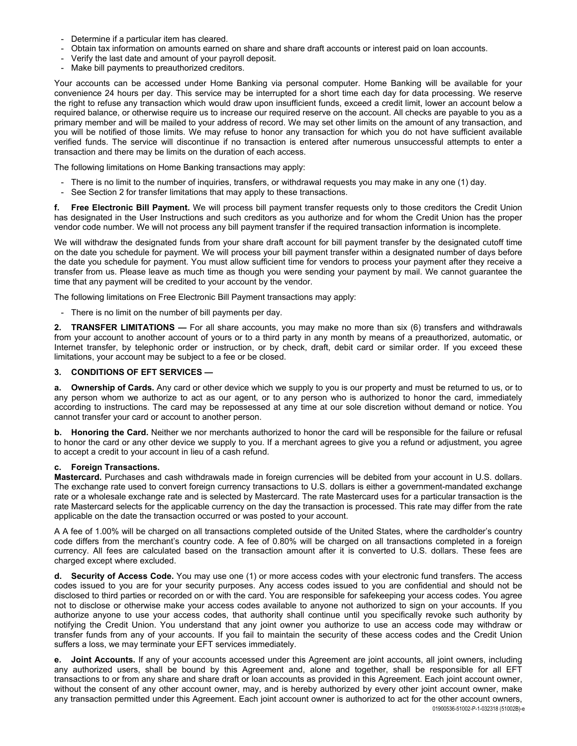- Determine if a particular item has cleared.
- Obtain tax information on amounts earned on share and share draft accounts or interest paid on loan accounts.
- Verify the last date and amount of your payroll deposit.
- Make bill payments to preauthorized creditors.

Your accounts can be accessed under Home Banking via personal computer. Home Banking will be available for your convenience 24 hours per day. This service may be interrupted for a short time each day for data processing. We reserve the right to refuse any transaction which would draw upon insufficient funds, exceed a credit limit, lower an account below a required balance, or otherwise require us to increase our required reserve on the account. All checks are payable to you as a primary member and will be mailed to your address of record. We may set other limits on the amount of any transaction, and you will be notified of those limits. We may refuse to honor any transaction for which you do not have sufficient available verified funds. The service will discontinue if no transaction is entered after numerous unsuccessful attempts to enter a transaction and there may be limits on the duration of each access.

The following limitations on Home Banking transactions may apply:

- There is no limit to the number of inquiries, transfers, or withdrawal requests you may make in any one (1) day.
- See Section 2 for transfer limitations that may apply to these transactions.

**f. Free Electronic Bill Payment.** We will process bill payment transfer requests only to those creditors the Credit Union has designated in the User Instructions and such creditors as you authorize and for whom the Credit Union has the proper vendor code number. We will not process any bill payment transfer if the required transaction information is incomplete.

We will withdraw the designated funds from your share draft account for bill payment transfer by the designated cutoff time on the date you schedule for payment. We will process your bill payment transfer within a designated number of days before the date you schedule for payment. You must allow sufficient time for vendors to process your payment after they receive a transfer from us. Please leave as much time as though you were sending your payment by mail. We cannot guarantee the time that any payment will be credited to your account by the vendor.

The following limitations on Free Electronic Bill Payment transactions may apply:

- There is no limit on the number of bill payments per day.

**2. TRANSFER LIMITATIONS —** For all share accounts, you may make no more than six (6) transfers and withdrawals from your account to another account of yours or to a third party in any month by means of a preauthorized, automatic, or Internet transfer, by telephonic order or instruction, or by check, draft, debit card or similar order. If you exceed these limitations, your account may be subject to a fee or be closed.

### **3. CONDITIONS OF EFT SERVICES —**

**a. Ownership of Cards.** Any card or other device which we supply to you is our property and must be returned to us, or to any person whom we authorize to act as our agent, or to any person who is authorized to honor the card, immediately according to instructions. The card may be repossessed at any time at our sole discretion without demand or notice. You cannot transfer your card or account to another person.

**b. Honoring the Card.** Neither we nor merchants authorized to honor the card will be responsible for the failure or refusal to honor the card or any other device we supply to you. If a merchant agrees to give you a refund or adjustment, you agree to accept a credit to your account in lieu of a cash refund.

#### **c. Foreign Transactions.**

**Mastercard.** Purchases and cash withdrawals made in foreign currencies will be debited from your account in U.S. dollars. The exchange rate used to convert foreign currency transactions to U.S. dollars is either a government-mandated exchange rate or a wholesale exchange rate and is selected by Mastercard. The rate Mastercard uses for a particular transaction is the rate Mastercard selects for the applicable currency on the day the transaction is processed. This rate may differ from the rate applicable on the date the transaction occurred or was posted to your account.

A A fee of 1.00% will be charged on all transactions completed outside of the United States, where the cardholder's country code differs from the merchant's country code. A fee of 0.80% will be charged on all transactions completed in a foreign currency. All fees are calculated based on the transaction amount after it is converted to U.S. dollars. These fees are charged except where excluded.

**d. Security of Access Code.** You may use one (1) or more access codes with your electronic fund transfers. The access codes issued to you are for your security purposes. Any access codes issued to you are confidential and should not be disclosed to third parties or recorded on or with the card. You are responsible for safekeeping your access codes. You agree not to disclose or otherwise make your access codes available to anyone not authorized to sign on your accounts. If you authorize anyone to use your access codes, that authority shall continue until you specifically revoke such authority by notifying the Credit Union. You understand that any joint owner you authorize to use an access code may withdraw or transfer funds from any of your accounts. If you fail to maintain the security of these access codes and the Credit Union suffers a loss, we may terminate your EFT services immediately.

**e.** Joint Accounts. If any of your accounts accessed under this Agreement are joint accounts, all joint owners, including any authorized users, shall be bound by this Agreement and, alone and together, shall be responsible for all EFT transactions to or from any share and share draft or loan accounts as provided in this Agreement. Each joint account owner, without the consent of any other account owner, may, and is hereby authorized by every other joint account owner, make any transaction permitted under this Agreement. Each joint account owner is authorized to act for the other account owners,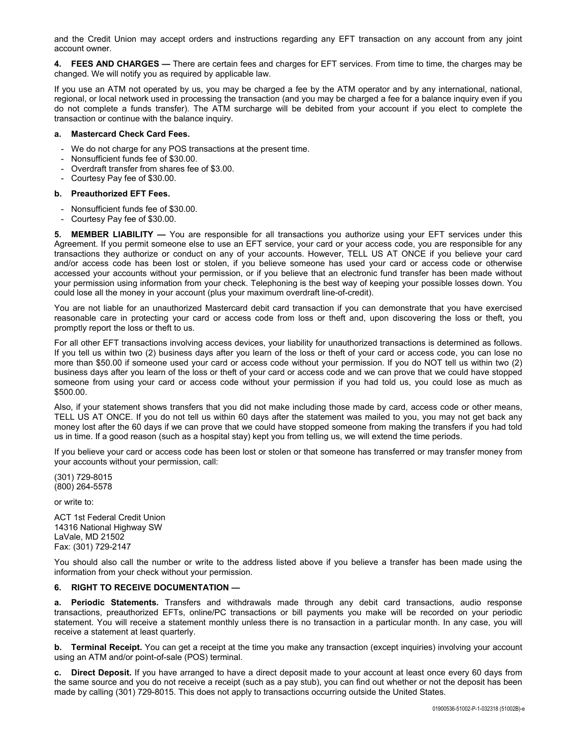and the Credit Union may accept orders and instructions regarding any EFT transaction on any account from any joint account owner.

**4. FEES AND CHARGES —** There are certain fees and charges for EFT services. From time to time, the charges may be changed. We will notify you as required by applicable law.

If you use an ATM not operated by us, you may be charged a fee by the ATM operator and by any international, national, regional, or local network used in processing the transaction (and you may be charged a fee for a balance inquiry even if you do not complete a funds transfer). The ATM surcharge will be debited from your account if you elect to complete the transaction or continue with the balance inquiry.

### **a. Mastercard Check Card Fees.**

- We do not charge for any POS transactions at the present time.
- Nonsufficient funds fee of \$30.00.
- Overdraft transfer from shares fee of \$3.00.
- Courtesy Pay fee of \$30.00.

#### **b. Preauthorized EFT Fees.**

- Nonsufficient funds fee of \$30.00.
- Courtesy Pay fee of \$30.00.

**5. MEMBER LIABILITY —** You are responsible for all transactions you authorize using your EFT services under this Agreement. If you permit someone else to use an EFT service, your card or your access code, you are responsible for any transactions they authorize or conduct on any of your accounts. However, TELL US AT ONCE if you believe your card and/or access code has been lost or stolen, if you believe someone has used your card or access code or otherwise accessed your accounts without your permission, or if you believe that an electronic fund transfer has been made without your permission using information from your check. Telephoning is the best way of keeping your possible losses down. You could lose all the money in your account (plus your maximum overdraft line-of-credit).

You are not liable for an unauthorized Mastercard debit card transaction if you can demonstrate that you have exercised reasonable care in protecting your card or access code from loss or theft and, upon discovering the loss or theft, you promptly report the loss or theft to us.

For all other EFT transactions involving access devices, your liability for unauthorized transactions is determined as follows. If you tell us within two (2) business days after you learn of the loss or theft of your card or access code, you can lose no more than \$50.00 if someone used your card or access code without your permission. If you do NOT tell us within two (2) business days after you learn of the loss or theft of your card or access code and we can prove that we could have stopped someone from using your card or access code without your permission if you had told us, you could lose as much as \$500.00.

Also, if your statement shows transfers that you did not make including those made by card, access code or other means, TELL US AT ONCE. If you do not tell us within 60 days after the statement was mailed to you, you may not get back any money lost after the 60 days if we can prove that we could have stopped someone from making the transfers if you had told us in time. If a good reason (such as a hospital stay) kept you from telling us, we will extend the time periods.

If you believe your card or access code has been lost or stolen or that someone has transferred or may transfer money from your accounts without your permission, call:

(301) 729-8015 (800) 264-5578

or write to:

ACT 1st Federal Credit Union 14316 National Highway SW LaVale, MD 21502 Fax: (301) 729-2147

You should also call the number or write to the address listed above if you believe a transfer has been made using the information from your check without your permission.

## **6. RIGHT TO RECEIVE DOCUMENTATION —**

**a. Periodic Statements.** Transfers and withdrawals made through any debit card transactions, audio response transactions, preauthorized EFTs, online/PC transactions or bill payments you make will be recorded on your periodic statement. You will receive a statement monthly unless there is no transaction in a particular month. In any case, you will receive a statement at least quarterly.

**b. Terminal Receipt.** You can get a receipt at the time you make any transaction (except inquiries) involving your account using an ATM and/or point-of-sale (POS) terminal.

**c. Direct Deposit.** If you have arranged to have a direct deposit made to your account at least once every 60 days from the same source and you do not receive a receipt (such as a pay stub), you can find out whether or not the deposit has been made by calling (301) 729-8015. This does not apply to transactions occurring outside the United States.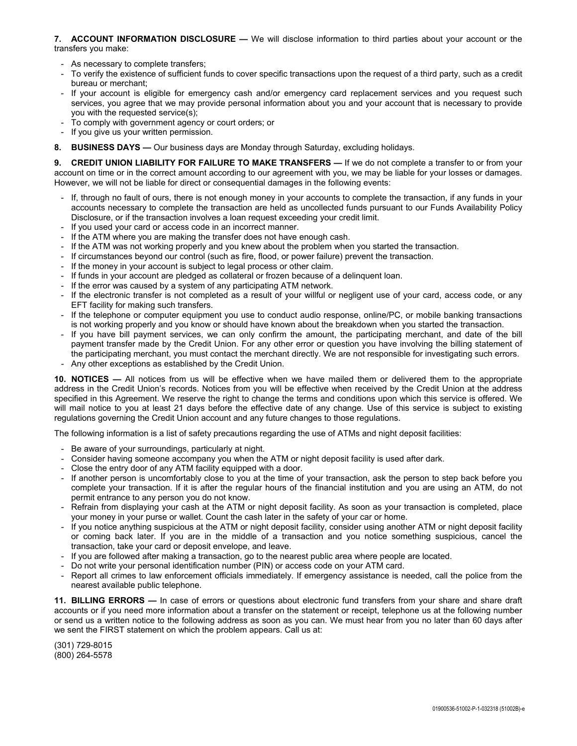### **7. ACCOUNT INFORMATION DISCLOSURE —** We will disclose information to third parties about your account or the transfers you make:

- As necessary to complete transfers;
- To verify the existence of sufficient funds to cover specific transactions upon the request of a third party, such as a credit bureau or merchant;
- If your account is eligible for emergency cash and/or emergency card replacement services and you request such services, you agree that we may provide personal information about you and your account that is necessary to provide you with the requested service(s);
- To comply with government agency or court orders; or
- If you give us your written permission.
- **8. BUSINESS DAYS —** Our business days are Monday through Saturday, excluding holidays.

**9. CREDIT UNION LIABILITY FOR FAILURE TO MAKE TRANSFERS —** If we do not complete a transfer to or from your account on time or in the correct amount according to our agreement with you, we may be liable for your losses or damages. However, we will not be liable for direct or consequential damages in the following events:

- If, through no fault of ours, there is not enough money in your accounts to complete the transaction, if any funds in your accounts necessary to complete the transaction are held as uncollected funds pursuant to our Funds Availability Policy Disclosure, or if the transaction involves a loan request exceeding your credit limit.
- If you used your card or access code in an incorrect manner.
- If the ATM where you are making the transfer does not have enough cash.
- If the ATM was not working properly and you knew about the problem when you started the transaction.
- If circumstances beyond our control (such as fire, flood, or power failure) prevent the transaction.
- If the money in your account is subject to legal process or other claim.
- If funds in your account are pledged as collateral or frozen because of a delinquent loan.
- If the error was caused by a system of any participating ATM network.
- If the electronic transfer is not completed as a result of your willful or negligent use of your card, access code, or any EFT facility for making such transfers.
- If the telephone or computer equipment you use to conduct audio response, online/PC, or mobile banking transactions is not working properly and you know or should have known about the breakdown when you started the transaction.
- If you have bill payment services, we can only confirm the amount, the participating merchant, and date of the bill payment transfer made by the Credit Union. For any other error or question you have involving the billing statement of the participating merchant, you must contact the merchant directly. We are not responsible for investigating such errors.
- Any other exceptions as established by the Credit Union.

**10. NOTICES —** All notices from us will be effective when we have mailed them or delivered them to the appropriate address in the Credit Union's records. Notices from you will be effective when received by the Credit Union at the address specified in this Agreement. We reserve the right to change the terms and conditions upon which this service is offered. We will mail notice to you at least 21 days before the effective date of any change. Use of this service is subject to existing regulations governing the Credit Union account and any future changes to those regulations.

The following information is a list of safety precautions regarding the use of ATMs and night deposit facilities:

- Be aware of your surroundings, particularly at night.
- Consider having someone accompany you when the ATM or night deposit facility is used after dark.
- Close the entry door of any ATM facility equipped with a door.
- If another person is uncomfortably close to you at the time of your transaction, ask the person to step back before you complete your transaction. If it is after the regular hours of the financial institution and you are using an ATM, do not permit entrance to any person you do not know.
- Refrain from displaying your cash at the ATM or night deposit facility. As soon as your transaction is completed, place your money in your purse or wallet. Count the cash later in the safety of your car or home.
- If you notice anything suspicious at the ATM or night deposit facility, consider using another ATM or night deposit facility or coming back later. If you are in the middle of a transaction and you notice something suspicious, cancel the transaction, take your card or deposit envelope, and leave.
- If you are followed after making a transaction, go to the nearest public area where people are located.
- Do not write your personal identification number (PIN) or access code on your ATM card.
- Report all crimes to law enforcement officials immediately. If emergency assistance is needed, call the police from the nearest available public telephone.

**11. BILLING ERRORS —** In case of errors or questions about electronic fund transfers from your share and share draft accounts or if you need more information about a transfer on the statement or receipt, telephone us at the following number or send us a written notice to the following address as soon as you can. We must hear from you no later than 60 days after we sent the FIRST statement on which the problem appears. Call us at:

(301) 729-8015 (800) 264-5578